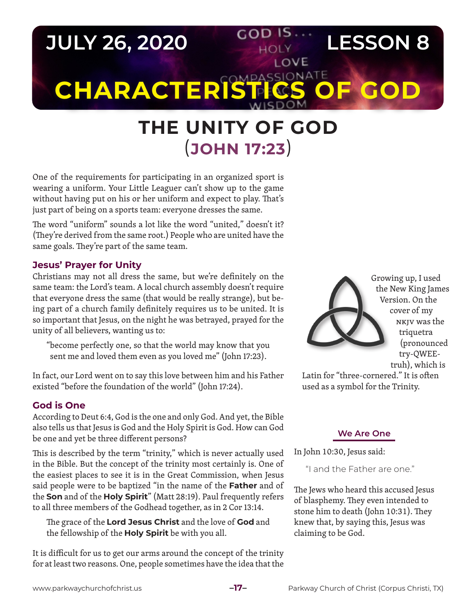

# **THE UNITY OF GOD** (**JOHN 17:23**)

One of the requirements for participating in an organized sport is wearing a uniform. Your Little Leaguer can't show up to the game without having put on his or her uniform and expect to play. That's just part of being on a sports team: everyone dresses the same.

The word "uniform" sounds a lot like the word "united," doesn't it? (They're derived from the same root.) People who are united have the same goals. They're part of the same team.

## **Jesus' Prayer for Unity**

Christians may not all dress the same, but we're definitely on the same team: the Lord's team. A local church assembly doesn't require that everyone dress the same (that would be really strange), but being part of a church family definitely requires us to be united. It is so important that Jesus, on the night he was betrayed, prayed for the unity of all believers, wanting us to:

"become perfectly one, so that the world may know that you sent me and loved them even as you loved me" (John 17:23).

In fact, our Lord went on to say this love between him and his Father existed "before the foundation of the world" (John 17:24).

## **God is One**

According to Deut 6:4, God is the one and only God. And yet, the Bible also tells us that Jesus is God and the Holy Spirit is God. How can God be one and yet be three different persons?

This is described by the term "trinity," which is never actually used in the Bible. But the concept of the trinity most certainly is. One of the easiest places to see it is in the Great Commission, when Jesus said people were to be baptized "in the name of the **Father** and of the **Son** and of the **Holy Spirit**" (Matt 28:19). Paul frequently refers to all three members of the Godhead together, as in 2 Cor 13:14.

The grace of the **Lord Jesus Christ** and the love of **God** and the fellowship of the **Holy Spirit** be with you all.

It is difficult for us to get our arms around the concept of the trinity for at least two reasons. One, people sometimes have the idea that the Growing up, I used the New King James Version. On the cover of my NKJV was the triquetra (pronounced try-QWEEtruh), which is

Latin for "three-cornered." It is often used as a symbol for the Trinity.

#### **We Are One**

In John 10:30, Jesus said:

"I and the Father are one."

The Jews who heard this accused Jesus of blasphemy. They even intended to stone him to death (John 10:31). They knew that, by saying this, Jesus was claiming to be God.